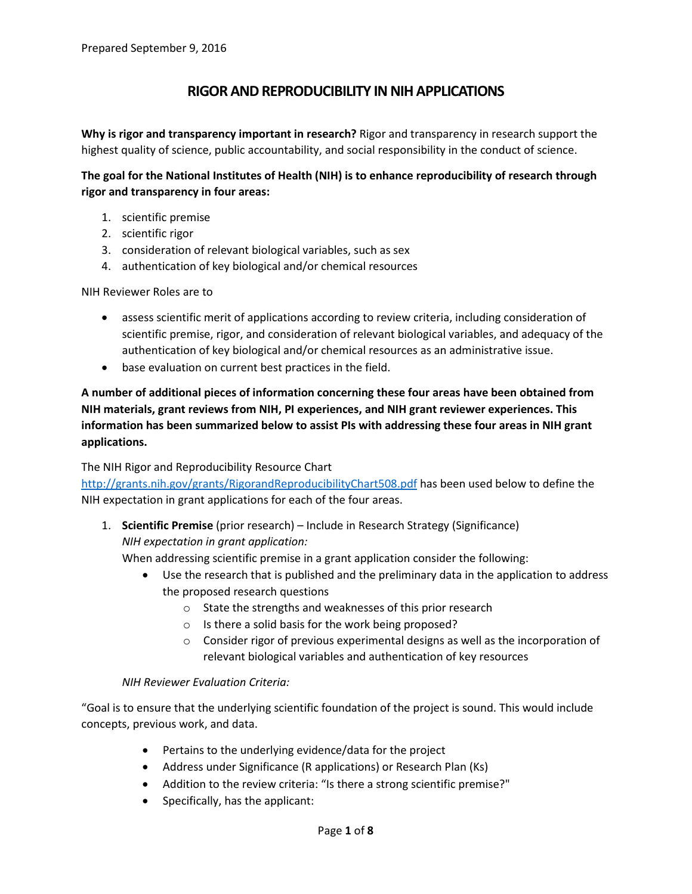# **RIGOR AND REPRODUCIBILITY IN NIH APPLICATIONS**

**Why is rigor and transparency important in research?** Rigor and transparency in research support the highest quality of science, public accountability, and social responsibility in the conduct of science.

### **The goal for the National Institutes of Health (NIH) is to enhance reproducibility of research through rigor and transparency in four areas:**

- 1. scientific premise
- 2. scientific rigor
- 3. consideration of relevant biological variables, such as sex
- 4. authentication of key biological and/or chemical resources

NIH Reviewer Roles are to

- assess scientific merit of applications according to review criteria, including consideration of scientific premise, rigor, and consideration of relevant biological variables, and adequacy of the authentication of key biological and/or chemical resources as an administrative issue.
- base evaluation on current best practices in the field.

**A number of additional pieces of information concerning these four areas have been obtained from NIH materials, grant reviews from NIH, PI experiences, and NIH grant reviewer experiences. This information has been summarized below to assist PIs with addressing these four areas in NIH grant applications.**

#### The NIH Rigor and Reproducibility Resource Chart

<http://grants.nih.gov/grants/RigorandReproducibilityChart508.pdf> has been used below to define the NIH expectation in grant applications for each of the four areas.

1. **Scientific Premise** (prior research) – Include in Research Strategy (Significance) *NIH expectation in grant application:*

When addressing scientific premise in a grant application consider the following:

- Use the research that is published and the preliminary data in the application to address the proposed research questions
	- o State the strengths and weaknesses of this prior research
	- o Is there a solid basis for the work being proposed?
	- o Consider rigor of previous experimental designs as well as the incorporation of relevant biological variables and authentication of key resources

#### *NIH Reviewer Evaluation Criteria:*

"Goal is to ensure that the underlying scientific foundation of the project is sound. This would include concepts, previous work, and data.

- Pertains to the underlying evidence/data for the project
- Address under Significance (R applications) or Research Plan (Ks)
- Addition to the review criteria: "Is there a strong scientific premise?"
- Specifically, has the applicant: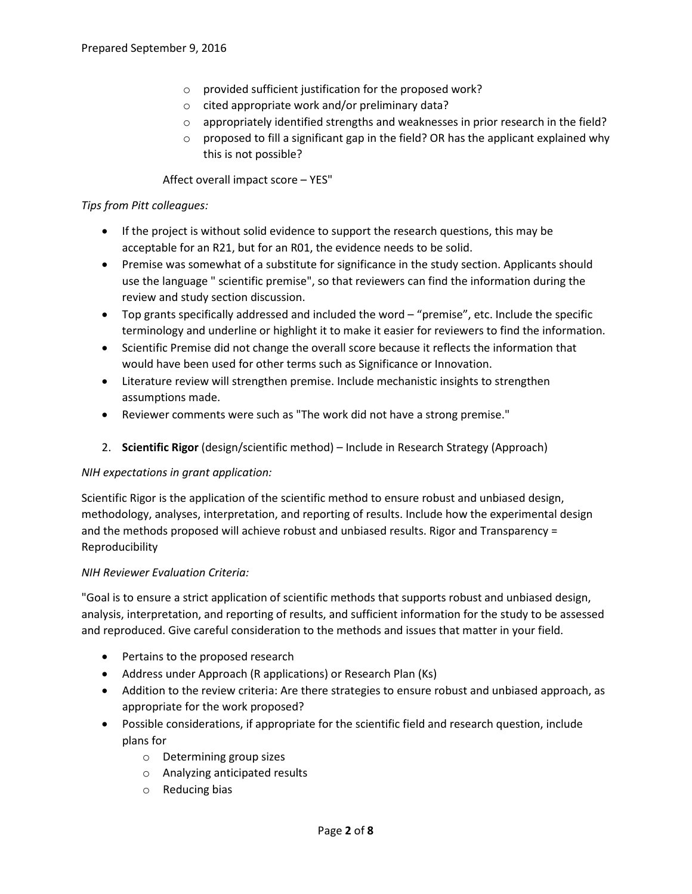- o provided sufficient justification for the proposed work?
- o cited appropriate work and/or preliminary data?
- o appropriately identified strengths and weaknesses in prior research in the field?
- $\circ$  proposed to fill a significant gap in the field? OR has the applicant explained why this is not possible?

Affect overall impact score – YES"

### *Tips from Pitt colleagues:*

- If the project is without solid evidence to support the research questions, this may be acceptable for an R21, but for an R01, the evidence needs to be solid.
- Premise was somewhat of a substitute for significance in the study section. Applicants should use the language " scientific premise", so that reviewers can find the information during the review and study section discussion.
- Top grants specifically addressed and included the word "premise", etc. Include the specific terminology and underline or highlight it to make it easier for reviewers to find the information.
- Scientific Premise did not change the overall score because it reflects the information that would have been used for other terms such as Significance or Innovation.
- Literature review will strengthen premise. Include mechanistic insights to strengthen assumptions made.
- Reviewer comments were such as "The work did not have a strong premise."
- 2. **Scientific Rigor** (design/scientific method) Include in Research Strategy (Approach)

#### *NIH expectations in grant application:*

Scientific Rigor is the application of the scientific method to ensure robust and unbiased design, methodology, analyses, interpretation, and reporting of results. Include how the experimental design and the methods proposed will achieve robust and unbiased results. Rigor and Transparency = Reproducibility

#### *NIH Reviewer Evaluation Criteria:*

"Goal is to ensure a strict application of scientific methods that supports robust and unbiased design, analysis, interpretation, and reporting of results, and sufficient information for the study to be assessed and reproduced. Give careful consideration to the methods and issues that matter in your field.

- Pertains to the proposed research
- Address under Approach (R applications) or Research Plan (Ks)
- Addition to the review criteria: Are there strategies to ensure robust and unbiased approach, as appropriate for the work proposed?
- Possible considerations, if appropriate for the scientific field and research question, include plans for
	- o Determining group sizes
	- o Analyzing anticipated results
	- o Reducing bias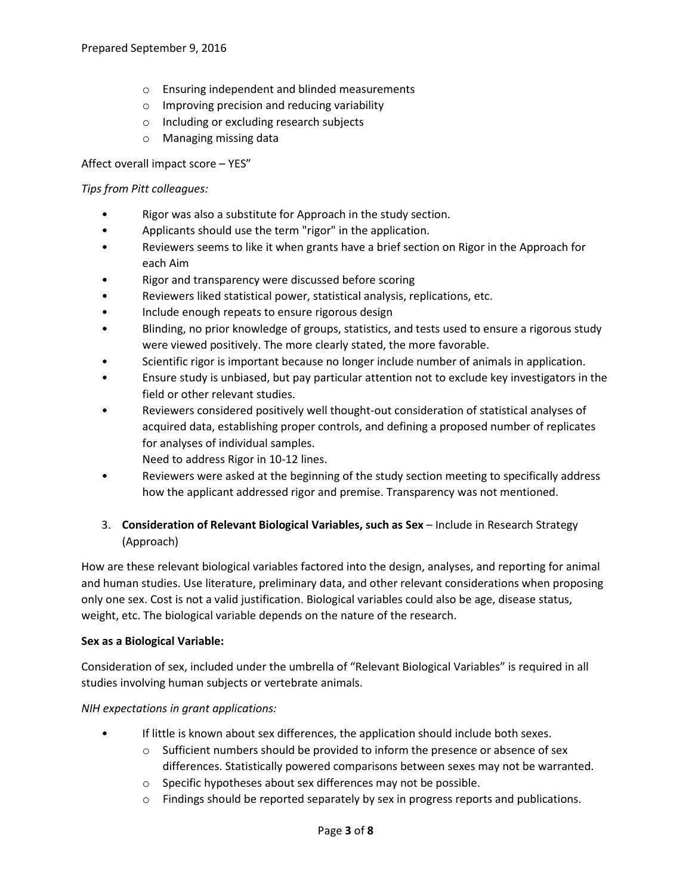- o Ensuring independent and blinded measurements
- o Improving precision and reducing variability
- o Including or excluding research subjects
- o Managing missing data

Affect overall impact score – YES"

#### *Tips from Pitt colleagues:*

- Rigor was also a substitute for Approach in the study section.
- Applicants should use the term "rigor" in the application.
- Reviewers seems to like it when grants have a brief section on Rigor in the Approach for each Aim
- Rigor and transparency were discussed before scoring
- Reviewers liked statistical power, statistical analysis, replications, etc.
- Include enough repeats to ensure rigorous design
- Blinding, no prior knowledge of groups, statistics, and tests used to ensure a rigorous study were viewed positively. The more clearly stated, the more favorable.
- Scientific rigor is important because no longer include number of animals in application.
- Ensure study is unbiased, but pay particular attention not to exclude key investigators in the field or other relevant studies.
- Reviewers considered positively well thought-out consideration of statistical analyses of acquired data, establishing proper controls, and defining a proposed number of replicates for analyses of individual samples.
	- Need to address Rigor in 10-12 lines.
- Reviewers were asked at the beginning of the study section meeting to specifically address how the applicant addressed rigor and premise. Transparency was not mentioned.

## 3. **Consideration of Relevant Biological Variables, such as Sex** – Include in Research Strategy (Approach)

How are these relevant biological variables factored into the design, analyses, and reporting for animal and human studies. Use literature, preliminary data, and other relevant considerations when proposing only one sex. Cost is not a valid justification. Biological variables could also be age, disease status, weight, etc. The biological variable depends on the nature of the research.

#### **Sex as a Biological Variable:**

Consideration of sex, included under the umbrella of "Relevant Biological Variables" is required in all studies involving human subjects or vertebrate animals.

*NIH expectations in grant applications:*

- If little is known about sex differences, the application should include both sexes.
	- $\circ$  Sufficient numbers should be provided to inform the presence or absence of sex differences. Statistically powered comparisons between sexes may not be warranted.
	- o Specific hypotheses about sex differences may not be possible.
	- $\circ$  Findings should be reported separately by sex in progress reports and publications.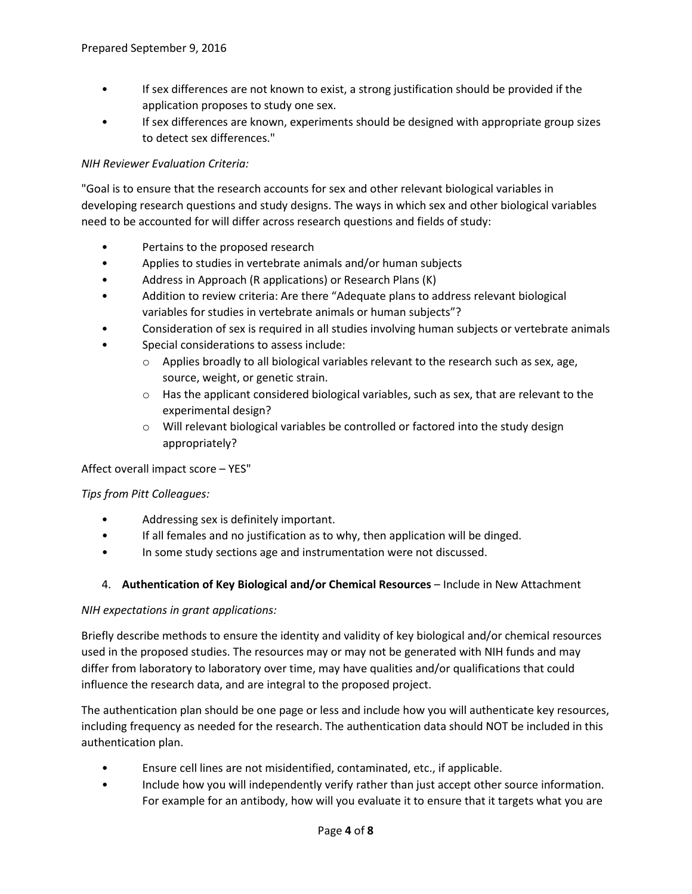- If sex differences are not known to exist, a strong justification should be provided if the application proposes to study one sex.
- If sex differences are known, experiments should be designed with appropriate group sizes to detect sex differences."

### *NIH Reviewer Evaluation Criteria:*

"Goal is to ensure that the research accounts for sex and other relevant biological variables in developing research questions and study designs. The ways in which sex and other biological variables need to be accounted for will differ across research questions and fields of study:

- Pertains to the proposed research
- Applies to studies in vertebrate animals and/or human subjects
- Address in Approach (R applications) or Research Plans (K)
- Addition to review criteria: Are there "Adequate plans to address relevant biological variables for studies in vertebrate animals or human subjects"?
- Consideration of sex is required in all studies involving human subjects or vertebrate animals
- Special considerations to assess include:
	- $\circ$  Applies broadly to all biological variables relevant to the research such as sex, age, source, weight, or genetic strain.
	- $\circ$  Has the applicant considered biological variables, such as sex, that are relevant to the experimental design?
	- o Will relevant biological variables be controlled or factored into the study design appropriately?

#### Affect overall impact score – YES"

#### *Tips from Pitt Colleagues:*

- Addressing sex is definitely important.
- If all females and no justification as to why, then application will be dinged.
- In some study sections age and instrumentation were not discussed.

#### 4. **Authentication of Key Biological and/or Chemical Resources** – Include in New Attachment

#### *NIH expectations in grant applications:*

Briefly describe methods to ensure the identity and validity of key biological and/or chemical resources used in the proposed studies. The resources may or may not be generated with NIH funds and may differ from laboratory to laboratory over time, may have qualities and/or qualifications that could influence the research data, and are integral to the proposed project.

The authentication plan should be one page or less and include how you will authenticate key resources, including frequency as needed for the research. The authentication data should NOT be included in this authentication plan.

- Ensure cell lines are not misidentified, contaminated, etc., if applicable.
- Include how you will independently verify rather than just accept other source information. For example for an antibody, how will you evaluate it to ensure that it targets what you are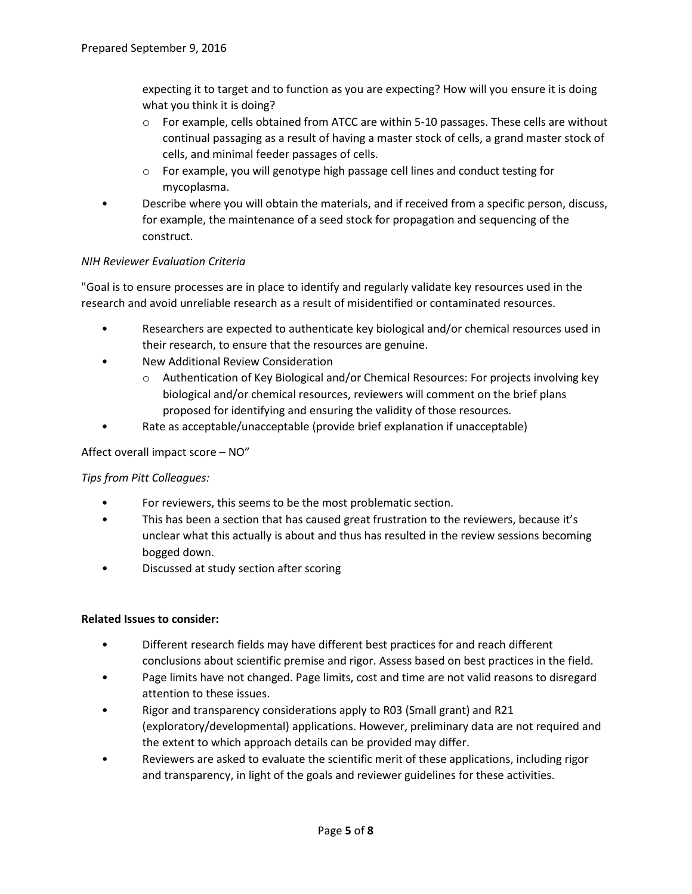expecting it to target and to function as you are expecting? How will you ensure it is doing what you think it is doing?

- $\circ$  For example, cells obtained from ATCC are within 5-10 passages. These cells are without continual passaging as a result of having a master stock of cells, a grand master stock of cells, and minimal feeder passages of cells.
- o For example, you will genotype high passage cell lines and conduct testing for mycoplasma.
- Describe where you will obtain the materials, and if received from a specific person, discuss, for example, the maintenance of a seed stock for propagation and sequencing of the construct.

### *NIH Reviewer Evaluation Criteria*

"Goal is to ensure processes are in place to identify and regularly validate key resources used in the research and avoid unreliable research as a result of misidentified or contaminated resources.

- Researchers are expected to authenticate key biological and/or chemical resources used in their research, to ensure that the resources are genuine.
- New Additional Review Consideration
	- o Authentication of Key Biological and/or Chemical Resources: For projects involving key biological and/or chemical resources, reviewers will comment on the brief plans proposed for identifying and ensuring the validity of those resources.
- Rate as acceptable/unacceptable (provide brief explanation if unacceptable)

#### Affect overall impact score – NO"

### *Tips from Pitt Colleagues:*

- For reviewers, this seems to be the most problematic section.
- This has been a section that has caused great frustration to the reviewers, because it's unclear what this actually is about and thus has resulted in the review sessions becoming bogged down.
- Discussed at study section after scoring

#### **Related Issues to consider:**

- Different research fields may have different best practices for and reach different conclusions about scientific premise and rigor. Assess based on best practices in the field.
- Page limits have not changed. Page limits, cost and time are not valid reasons to disregard attention to these issues.
- Rigor and transparency considerations apply to R03 (Small grant) and R21 (exploratory/developmental) applications. However, preliminary data are not required and the extent to which approach details can be provided may differ.
- Reviewers are asked to evaluate the scientific merit of these applications, including rigor and transparency, in light of the goals and reviewer guidelines for these activities.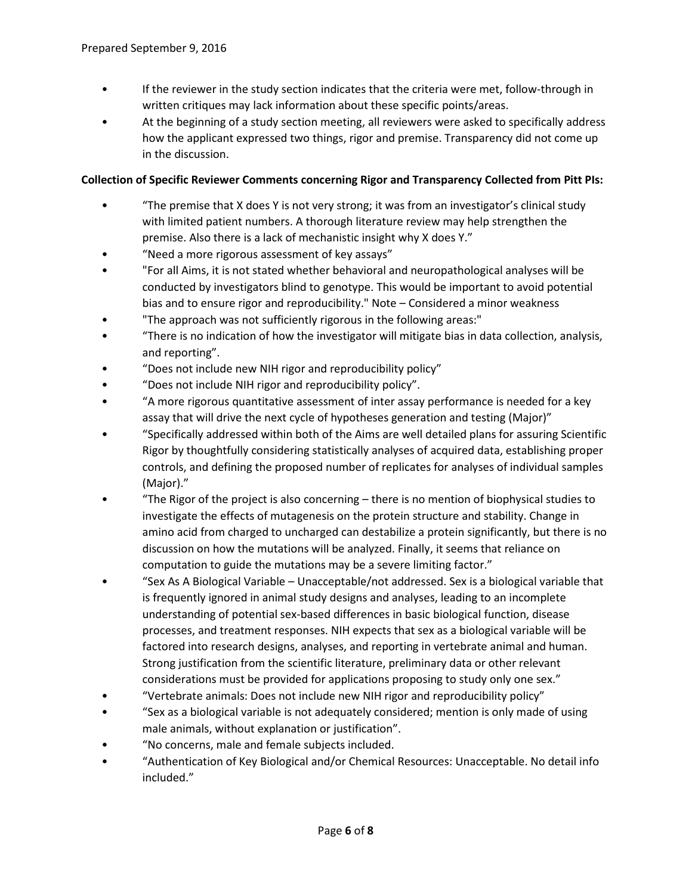- If the reviewer in the study section indicates that the criteria were met, follow-through in written critiques may lack information about these specific points/areas.
- At the beginning of a study section meeting, all reviewers were asked to specifically address how the applicant expressed two things, rigor and premise. Transparency did not come up in the discussion.

### **Collection of Specific Reviewer Comments concerning Rigor and Transparency Collected from Pitt PIs:**

- "The premise that X does Y is not very strong; it was from an investigator's clinical study with limited patient numbers. A thorough literature review may help strengthen the premise. Also there is a lack of mechanistic insight why X does Y."
- "Need a more rigorous assessment of key assays"
- "For all Aims, it is not stated whether behavioral and neuropathological analyses will be conducted by investigators blind to genotype. This would be important to avoid potential bias and to ensure rigor and reproducibility." Note – Considered a minor weakness
- "The approach was not sufficiently rigorous in the following areas:"
- "There is no indication of how the investigator will mitigate bias in data collection, analysis, and reporting".
- "Does not include new NIH rigor and reproducibility policy"
- "Does not include NIH rigor and reproducibility policy".
- "A more rigorous quantitative assessment of inter assay performance is needed for a key assay that will drive the next cycle of hypotheses generation and testing (Major)"
- "Specifically addressed within both of the Aims are well detailed plans for assuring Scientific Rigor by thoughtfully considering statistically analyses of acquired data, establishing proper controls, and defining the proposed number of replicates for analyses of individual samples (Major)."
- "The Rigor of the project is also concerning there is no mention of biophysical studies to investigate the effects of mutagenesis on the protein structure and stability. Change in amino acid from charged to uncharged can destabilize a protein significantly, but there is no discussion on how the mutations will be analyzed. Finally, it seems that reliance on computation to guide the mutations may be a severe limiting factor."
- "Sex As A Biological Variable Unacceptable/not addressed. Sex is a biological variable that is frequently ignored in animal study designs and analyses, leading to an incomplete understanding of potential sex-based differences in basic biological function, disease processes, and treatment responses. NIH expects that sex as a biological variable will be factored into research designs, analyses, and reporting in vertebrate animal and human. Strong justification from the scientific literature, preliminary data or other relevant considerations must be provided for applications proposing to study only one sex."
- "Vertebrate animals: Does not include new NIH rigor and reproducibility policy"
- "Sex as a biological variable is not adequately considered; mention is only made of using male animals, without explanation or justification".
- "No concerns, male and female subjects included.
- "Authentication of Key Biological and/or Chemical Resources: Unacceptable. No detail info included."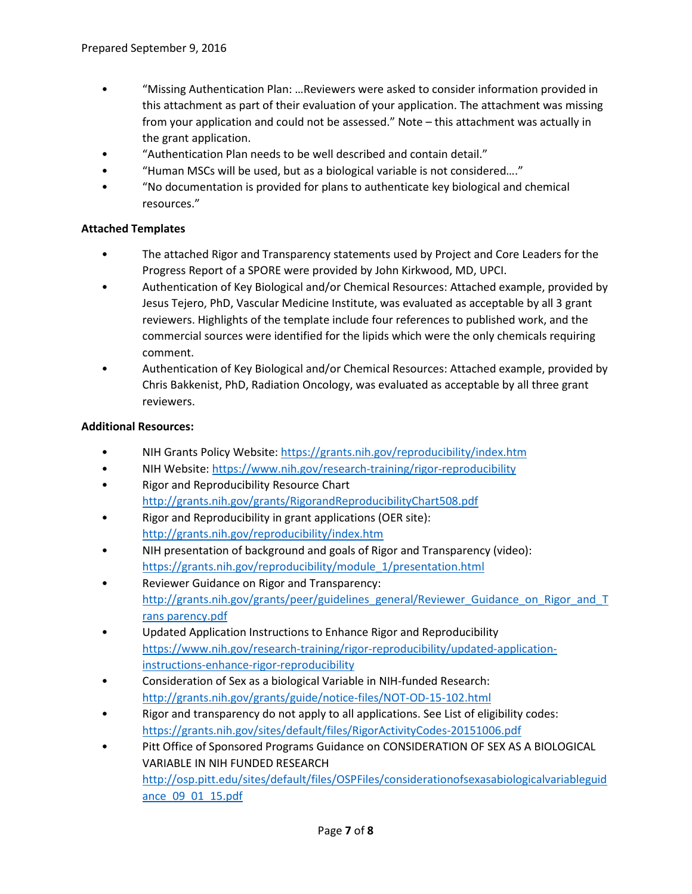- "Missing Authentication Plan: …Reviewers were asked to consider information provided in this attachment as part of their evaluation of your application. The attachment was missing from your application and could not be assessed." Note – this attachment was actually in the grant application.
- "Authentication Plan needs to be well described and contain detail."
- "Human MSCs will be used, but as a biological variable is not considered…."
- "No documentation is provided for plans to authenticate key biological and chemical resources."

### **Attached Templates**

- The attached Rigor and Transparency statements used by Project and Core Leaders for the Progress Report of a SPORE were provided by John Kirkwood, MD, UPCI.
- Authentication of Key Biological and/or Chemical Resources: Attached example, provided by Jesus Tejero, PhD, Vascular Medicine Institute, was evaluated as acceptable by all 3 grant reviewers. Highlights of the template include four references to published work, and the commercial sources were identified for the lipids which were the only chemicals requiring comment.
- Authentication of Key Biological and/or Chemical Resources: Attached example, provided by Chris Bakkenist, PhD, Radiation Oncology, was evaluated as acceptable by all three grant reviewers.

#### **Additional Resources:**

- NIH Grants Policy Website[: https://grants.nih.gov/reproducibility/index.htm](https://grants.nih.gov/reproducibility/index.htm)
- NIH Website[: https://www.nih.gov/research-training/rigor-reproducibility](https://www.nih.gov/research-training/rigor-reproducibility)
- Rigor and Reproducibility Resource Chart <http://grants.nih.gov/grants/RigorandReproducibilityChart508.pdf>
- Rigor and Reproducibility in grant applications (OER site): <http://grants.nih.gov/reproducibility/index.htm>
- NIH presentation of background and goals of Rigor and Transparency (video): [https://grants.nih.gov/reproducibility/module\\_1/presentation.html](https://grants.nih.gov/reproducibility/module_1/presentation.html)
- Reviewer Guidance on Rigor and Transparency: [http://grants.nih.gov/grants/peer/guidelines\\_general/Reviewer\\_Guidance\\_on\\_Rigor\\_and\\_T](http://grants.nih.gov/grants/peer/guidelines_general/Reviewer_Guidance_on_Rigor_and_Trans%20parency.pdf) [rans parency.pdf](http://grants.nih.gov/grants/peer/guidelines_general/Reviewer_Guidance_on_Rigor_and_Trans%20parency.pdf)
- Updated Application Instructions to Enhance Rigor and Reproducibility [https://www.nih.gov/research-training/rigor-reproducibility/updated-application](https://www.nih.gov/research-training/rigor-reproducibility/updated-application-instructions-enhance-rigor-reproducibility)[instructions-enhance-rigor-reproducibility](https://www.nih.gov/research-training/rigor-reproducibility/updated-application-instructions-enhance-rigor-reproducibility)
- Consideration of Sex as a biological Variable in NIH-funded Research: <http://grants.nih.gov/grants/guide/notice-files/NOT-OD-15-102.html>
- Rigor and transparency do not apply to all applications. See List of eligibility codes: <https://grants.nih.gov/sites/default/files/RigorActivityCodes-20151006.pdf>
- Pitt Office of Sponsored Programs Guidance on CONSIDERATION OF SEX AS A BIOLOGICAL VARIABLE IN NIH FUNDED RESEARCH [http://osp.pitt.edu/sites/default/files/OSPFiles/considerationofsexasabiologicalvariableguid](http://osp.pitt.edu/sites/default/files/OSPFiles/considerationofsexasabiologicalvariableguidance_09_01_15.pdf) [ance\\_09\\_01\\_15.pdf](http://osp.pitt.edu/sites/default/files/OSPFiles/considerationofsexasabiologicalvariableguidance_09_01_15.pdf)